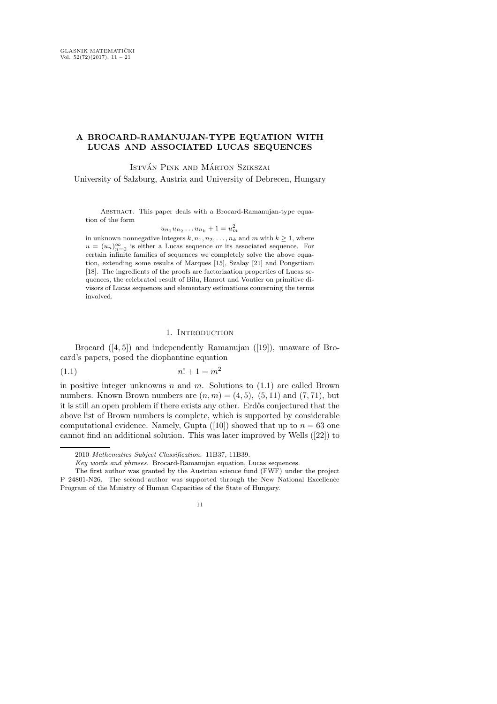# A BROCARD-RAMANUJAN-TYPE EQUATION WITH LUCAS AND ASSOCIATED LUCAS SEQUENCES

ISTVÁN PINK AND MÁRTON SZIKSZAI

University of Salzburg, Austria and University of Debrecen, Hungary

ABSTRACT. This paper deals with a Brocard-Ramanujan-type equation of the form

$$
u_{n_1}u_{n_2}\ldots u_{n_k}+1=u_m^2
$$

in unknown nonnegative integers  $k, n_1, n_2, \ldots, n_k$  and m with  $k \geq 1$ , where  $u = (u_n)_{n=0}^{\infty}$  is either a Lucas sequence or its associated sequence. For certain infinite families of sequences we completely solve the above equation, extending some results of Marques [15], Szalay [21] and Pongsriiam [18]. The ingredients of the proofs are factorization properties of Lucas sequences, the celebrated result of Bilu, Hanrot and Voutier on primitive divisors of Lucas sequences and elementary estimations concerning the terms involved.

### 1. INTRODUCTION

Brocard ([4, 5]) and independently Ramanujan ([19]), unaware of Brocard's papers, posed the diophantine equation

$$
(1.1)\qquad \qquad n! + 1 = m^2
$$

in positive integer unknowns  $n$  and  $m$ . Solutions to  $(1.1)$  are called Brown numbers. Known Brown numbers are  $(n, m) = (4, 5)$ ,  $(5, 11)$  and  $(7, 71)$ , but it is still an open problem if there exists any other. Erdős conjectured that the above list of Brown numbers is complete, which is supported by considerable computational evidence. Namely, Gupta ([10]) showed that up to  $n = 63$  one cannot find an additional solution. This was later improved by Wells ([22]) to

<sup>2010</sup> Mathematics Subject Classification. 11B37, 11B39.

Key words and phrases. Brocard-Ramanujan equation, Lucas sequences.

The first author was granted by the Austrian science fund (FWF) under the project P 24801-N26. The second author was supported through the New National Excellence Program of the Ministry of Human Capacities of the State of Hungary.

<sup>11</sup>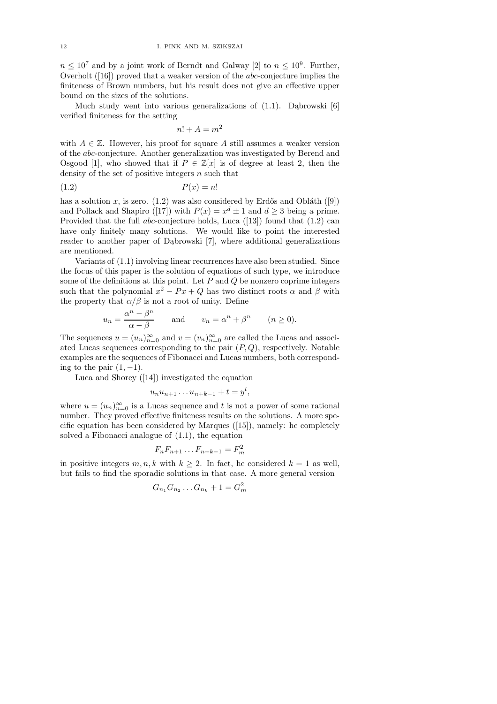$n \leq 10^7$  and by a joint work of Berndt and Galway [2] to  $n \leq 10^9$ . Further, Overholt ([16]) proved that a weaker version of the abc-conjecture implies the finiteness of Brown numbers, but his result does not give an effective upper bound on the sizes of the solutions.

Much study went into various generalizations of  $(1.1)$ . Dabrowski  $[6]$ verified finiteness for the setting

$$
n! + A = m^2
$$

with  $A \in \mathbb{Z}$ . However, his proof for square A still assumes a weaker version of the abc-conjecture. Another generalization was investigated by Berend and Osgood [1], who showed that if  $P \in \mathbb{Z}[x]$  is of degree at least 2, then the density of the set of positive integers  $n$  such that

$$
(1.2) \t\t P(x) = n!
$$

has a solution x, is zero. (1.2) was also considered by Erdős and Obláth ([9]) and Pollack and Shapiro ([17]) with  $P(x) = x^d \pm 1$  and  $d \ge 3$  being a prime. Provided that the full abc-conjecture holds, Luca ([13]) found that (1.2) can have only finitely many solutions. We would like to point the interested reader to another paper of Dąbrowski [7], where additional generalizations are mentioned.

Variants of (1.1) involving linear recurrences have also been studied. Since the focus of this paper is the solution of equations of such type, we introduce some of the definitions at this point. Let  $P$  and  $Q$  be nonzero coprime integers such that the polynomial  $x^2 - Px + Q$  has two distinct roots  $\alpha$  and  $\beta$  with the property that  $\alpha/\beta$  is not a root of unity. Define

$$
u_n = \frac{\alpha^n - \beta^n}{\alpha - \beta}
$$
 and  $v_n = \alpha^n + \beta^n$   $(n \ge 0).$ 

The sequences  $u = (u_n)_{n=0}^{\infty}$  and  $v = (v_n)_{n=0}^{\infty}$  are called the Lucas and associated Lucas sequences corresponding to the pair  $(P, Q)$ , respectively. Notable examples are the sequences of Fibonacci and Lucas numbers, both corresponding to the pair  $(1, -1)$ .

Luca and Shorey ([14]) investigated the equation

$$
u_nu_{n+1}\ldots u_{n+k-1}+t=y^l,
$$

where  $u = (u_n)_{n=0}^{\infty}$  is a Lucas sequence and t is not a power of some rational number. They proved effective finiteness results on the solutions. A more specific equation has been considered by Marques ([15]), namely: he completely solved a Fibonacci analogue of (1.1), the equation

$$
F_n F_{n+1} \dots F_{n+k-1} = F_m^2
$$

in positive integers  $m, n, k$  with  $k \geq 2$ . In fact, he considered  $k = 1$  as well, but fails to find the sporadic solutions in that case. A more general version

$$
G_{n_1} G_{n_2} \dots G_{n_k} + 1 = G_m^2
$$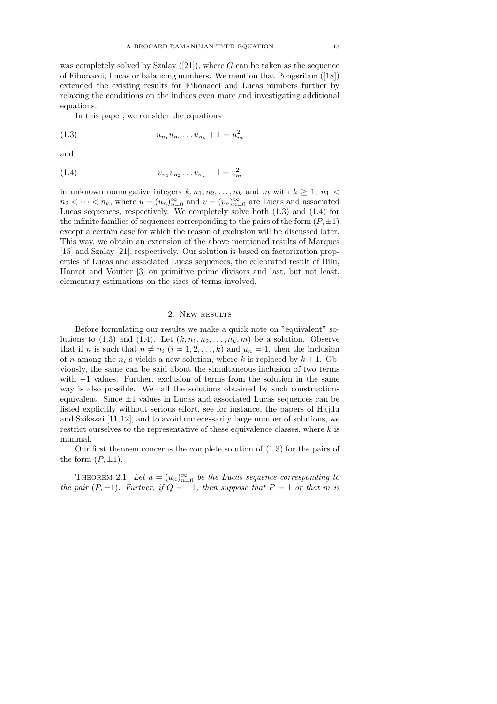was completely solved by Szalay  $([21])$ , where G can be taken as the sequence of Fibonacci, Lucas or balancing numbers. We mention that Pongsriiam ([18]) extended the existing results for Fibonacci and Lucas numbers further by relaxing the conditions on the indices even more and investigating additional equations.

In this paper, we consider the equations

$$
(1.3) \t\t\t u_{n_1} u_{n_2} \dots u_{n_k} + 1 = u_m^2
$$

and

$$
(1.4) \t v_{n_1}v_{n_2}\dots v_{n_k} + 1 = v_m^2
$$

in unknown nonnegative integers  $k, n_1, n_2, \ldots, n_k$  and m with  $k \geq 1$ ,  $n_1$  $n_2 < \cdots < n_k$ , where  $u = (u_n)_{n=0}^{\infty}$  and  $v = (v_n)_{n=0}^{\infty}$  are Lucas and associated Lucas sequences, respectively. We completely solve both (1.3) and (1.4) for the infinite families of sequences corresponding to the pairs of the form  $(P, \pm 1)$ except a certain case for which the reason of exclusion will be discussed later. This way, we obtain an extension of the above mentioned results of Marques [15] and Szalay [21], respectively. Our solution is based on factorization properties of Lucas and associated Lucas sequences, the celebrated result of Bilu, Hanrot and Voutier [3] on primitive prime divisors and last, but not least, elementary estimations on the sizes of terms involved.

#### 2. New RESULTS

Before formulating our results we make a quick note on "equivalent" solutions to (1.3) and (1.4). Let  $(k, n_1, n_2, \ldots, n_k, m)$  be a solution. Observe that if n is such that  $n \neq n_i$   $(i = 1, 2, ..., k)$  and  $u_n = 1$ , then the inclusion of n among the  $n<sub>i</sub>$ -s yields a new solution, where k is replaced by  $k + 1$ . Obviously, the same can be said about the simultaneous inclusion of two terms with −1 values. Further, exclusion of terms from the solution in the same way is also possible. We call the solutions obtained by such constructions equivalent. Since  $\pm 1$  values in Lucas and associated Lucas sequences can be listed explicitly without serious effort, see for instance, the papers of Hajdu and Szikszai [11,12], and to avoid unnecessarily large number of solutions, we restrict ourselves to the representative of these equivalence classes, where k is minimal.

Our first theorem concerns the complete solution of (1.3) for the pairs of the form  $(P, \pm 1)$ .

THEOREM 2.1. Let  $u = (u_n)_{n=0}^{\infty}$  be the Lucas sequence corresponding to the pair  $(P, \pm 1)$ . Further, if  $Q = -1$ , then suppose that  $P = 1$  or that m is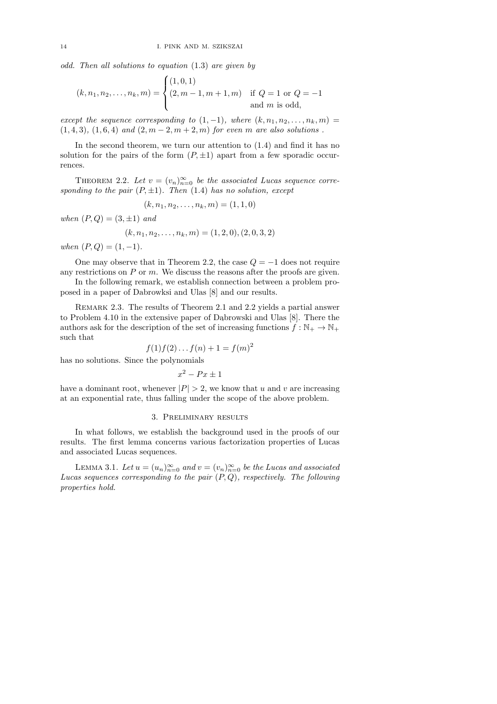odd. Then all solutions to equation (1.3) are given by

$$
(k, n_1, n_2, \dots, n_k, m) = \begin{cases} (1, 0, 1) \\ (2, m - 1, m + 1, m) & \text{if } Q = 1 \text{ or } Q = -1 \\ \text{and } m \text{ is odd,} \end{cases}
$$

except the sequence corresponding to  $(1,-1)$ , where  $(k, n_1, n_2, \ldots, n_k, m)$  $(1, 4, 3), (1, 6, 4)$  and  $(2, m - 2, m + 2, m)$  for even m are also solutions.

In the second theorem, we turn our attention to  $(1.4)$  and find it has no solution for the pairs of the form  $(P, \pm 1)$  apart from a few sporadic occurrences.

THEOREM 2.2. Let  $v = (v_n)_{n=0}^{\infty}$  be the associated Lucas sequence corresponding to the pair  $(P, \pm 1)$ . Then  $(1.4)$  has no solution, except

$$
(k, n_1, n_2, \ldots, n_k, m) = (1, 1, 0)
$$

when  $(P, Q) = (3, \pm 1)$  and

$$
(k, n_1, n_2, \dots, n_k, m) = (1, 2, 0), (2, 0, 3, 2)
$$

when  $(P,Q) = (1,-1)$ .

One may observe that in Theorem 2.2, the case  $Q = -1$  does not require any restrictions on  $P$  or  $m$ . We discuss the reasons after the proofs are given.

In the following remark, we establish connection between a problem proposed in a paper of Dabrowksi and Ulas [8] and our results.

REMARK 2.3. The results of Theorem 2.1 and 2.2 yields a partial answer to Problem  $4.10$  in the extensive paper of Dabrowski and Ulas  $[8]$ . There the authors ask for the description of the set of increasing functions  $f : \mathbb{N}_+ \to \mathbb{N}_+$ such that

$$
f(1)f(2)...f(n) + 1 = f(m)^2
$$

has no solutions. Since the polynomials

$$
x^2 - Px \pm 1
$$

have a dominant root, whenever  $|P| > 2$ , we know that u and v are increasing at an exponential rate, thus falling under the scope of the above problem.

### 3. Preliminary results

In what follows, we establish the background used in the proofs of our results. The first lemma concerns various factorization properties of Lucas and associated Lucas sequences.

LEMMA 3.1. Let  $u = (u_n)_{n=0}^{\infty}$  and  $v = (v_n)_{n=0}^{\infty}$  be the Lucas and associated Lucas sequences corresponding to the pair  $(P,Q)$ , respectively. The following properties hold.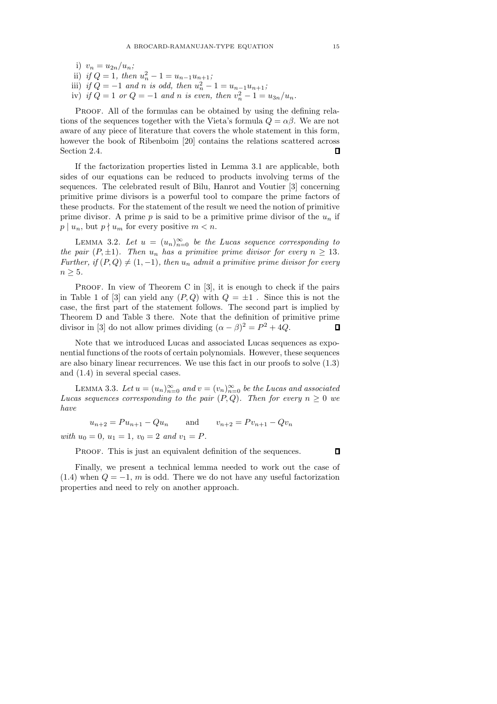i)  $v_n = u_{2n}/u_n;$ ii) if  $Q = 1$ , then  $u_n^2 - 1 = u_{n-1}u_{n+1}$ ; iii) if  $Q = -1$  and n is odd, then  $u_n^2 - 1 = u_{n-1}u_{n+1}$ ; iv) if  $Q = 1$  or  $Q = -1$  and n is even, then  $v_n^2 - 1 = u_{3n}/u_n$ .

PROOF. All of the formulas can be obtained by using the defining relations of the sequences together with the Vieta's formula  $Q = \alpha \beta$ . We are not aware of any piece of literature that covers the whole statement in this form, however the book of Ribenboim [20] contains the relations scattered across Section 2.4.  $\Box$ 

If the factorization properties listed in Lemma 3.1 are applicable, both sides of our equations can be reduced to products involving terms of the sequences. The celebrated result of Bilu, Hanrot and Voutier [3] concerning primitive prime divisors is a powerful tool to compare the prime factors of these products. For the statement of the result we need the notion of primitive prime divisor. A prime p is said to be a primitive prime divisor of the  $u_n$  if  $p \mid u_n$ , but  $p \nmid u_m$  for every positive  $m < n$ .

LEMMA 3.2. Let  $u = (u_n)_{n=0}^{\infty}$  be the Lucas sequence corresponding to the pair  $(P, \pm 1)$ . Then  $u_n$  has a primitive prime divisor for every  $n > 13$ . Further, if  $(P,Q) \neq (1, -1)$ , then  $u_n$  admit a primitive prime divisor for every  $n \geq 5$ .

PROOF. In view of Theorem C in [3], it is enough to check if the pairs in Table 1 of [3] can yield any  $(P,Q)$  with  $Q = \pm 1$ . Since this is not the case, the first part of the statement follows. The second part is implied by Theorem D and Table 3 there. Note that the definition of primitive prime divisor in [3] do not allow primes dividing  $(\alpha - \beta)^2 = P^2 + 4Q$ . П

Note that we introduced Lucas and associated Lucas sequences as exponential functions of the roots of certain polynomials. However, these sequences are also binary linear recurrences. We use this fact in our proofs to solve (1.3) and (1.4) in several special cases.

LEMMA 3.3. Let  $u = (u_n)_{n=0}^{\infty}$  and  $v = (v_n)_{n=0}^{\infty}$  be the Lucas and associated Lucas sequences corresponding to the pair  $(P,Q)$ . Then for every  $n \geq 0$  we have

 $u_{n+2} = Pu_{n+1} - Qu_n$  and  $v_{n+2} = Pv_{n+1} - Qv_n$ with  $u_0 = 0$ ,  $u_1 = 1$ ,  $v_0 = 2$  and  $v_1 = P$ .

PROOF. This is just an equivalent definition of the sequences.

Finally, we present a technical lemma needed to work out the case of  $(1.4)$  when  $Q = -1$ , m is odd. There we do not have any useful factorization properties and need to rely on another approach.

 $\Box$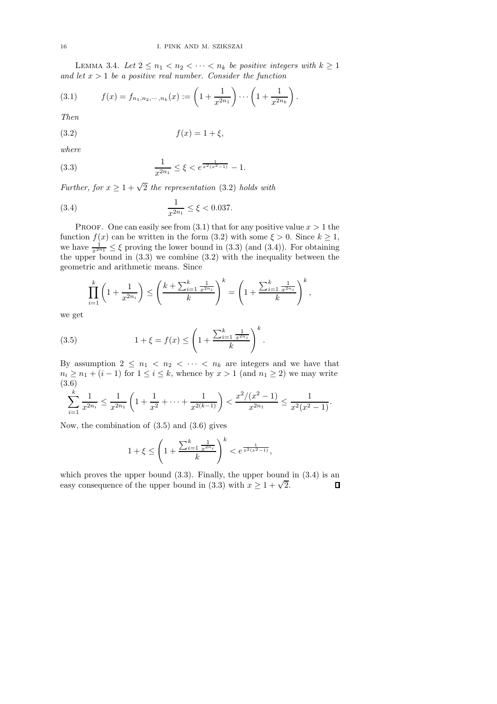LEMMA 3.4. Let  $2 \leq n_1 < n_2 < \cdots < n_k$  be positive integers with  $k \geq 1$ and let  $x > 1$  be a positive real number. Consider the function

(3.1) 
$$
f(x) = f_{n_1, n_2, \cdots, n_k}(x) := \left(1 + \frac{1}{x^{2n_1}}\right) \cdots \left(1 + \frac{1}{x^{2n_k}}\right).
$$

Then

$$
(3.2) \t\t f(x) = 1 + \xi,
$$

where

(3.3) 
$$
\frac{1}{x^{2n_1}} \le \xi < e^{\frac{1}{x^2(x^2-1)}} - 1.
$$

Further, for  $x \geq 1 + \sqrt{2}$  the representation (3.2) holds with

(3.4) 
$$
\frac{1}{x^{2n_1}} \le \xi < 0.037.
$$

PROOF. One can easily see from  $(3.1)$  that for any positive value  $x > 1$  the function  $f(x)$  can be written in the form (3.2) with some  $\xi > 0$ . Since  $k \ge 1$ , we have  $\frac{1}{x^{2n_1}} \leq \xi$  proving the lower bound in (3.3) (and (3.4)). For obtaining the upper bound in (3.3) we combine (3.2) with the inequality between the geometric and arithmetic means. Since

$$
\prod_{i=1}^k \left(1 + \frac{1}{x^{2n_i}}\right) \le \left(\frac{k + \sum_{i=1}^k \frac{1}{x^{2n_i}}}{k}\right)^k = \left(1 + \frac{\sum_{i=1}^k \frac{1}{x^{2n_i}}}{k}\right)^k,
$$

we get

(3.5) 
$$
1 + \xi = f(x) \le \left(1 + \frac{\sum_{i=1}^{k} \frac{1}{x^{2n_i}}}{k}\right)^k.
$$

By assumption  $2 \leq n_1 < n_2 < \cdots < n_k$  are integers and we have that  $n_i \geq n_1 + (i - 1)$  for  $1 \leq i \leq k$ , whence by  $x > 1$  (and  $n_1 \geq 2$ ) we may write (3.6)

$$
\sum_{i=1}^k \frac{1}{x^{2n_i}} \le \frac{1}{x^{2n_1}} \left( 1 + \frac{1}{x^2} + \dots + \frac{1}{x^{2(k-1)}} \right) < \frac{x^2/(x^2 - 1)}{x^{2n_1}} \le \frac{1}{x^2(x^2 - 1)}.
$$

Now, the combination of (3.5) and (3.6) gives

$$
1 + \xi \le \left(1 + \frac{\sum_{i=1}^k \frac{1}{x^{2n_i}}}{k}\right)^k < e^{\frac{1}{x^2(x^2 - 1)}},
$$

which proves the upper bound  $(3.3)$ . Finally, the upper bound in  $(3.4)$  is an easy consequence of the upper bound in (3.3) with  $x \ge 1 + \sqrt{2}$ .  $\Box$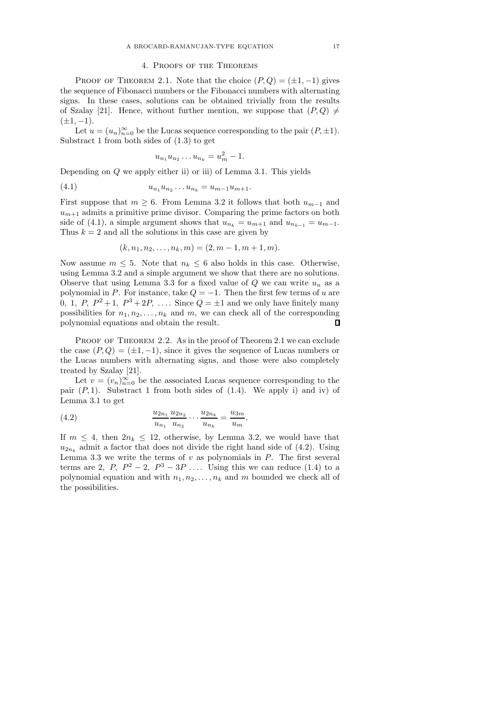#### 4. Proofs of the Theorems

PROOF OF THEOREM 2.1. Note that the choice  $(P,Q) = (\pm 1, -1)$  gives the sequence of Fibonacci numbers or the Fibonacci numbers with alternating signs. In these cases, solutions can be obtained trivially from the results of Szalay [21]. Hence, without further mention, we suppose that  $(P,Q) \neq$  $(\pm 1, -1).$ 

Let  $u = (u_n)_{n=0}^{\infty}$  be the Lucas sequence corresponding to the pair  $(P, \pm 1)$ . Substract 1 from both sides of (1.3) to get

$$
u_{n_1}u_{n_2}\dots u_{n_k}=u_m^2-1.
$$

Depending on Q we apply either ii) or iii) of Lemma 3.1. This yields

$$
(4.1) \t\t\t  $u_{n_1}u_{n_2}\ldots u_{n_k}=u_{m-1}u_{m+1}.$
$$

First suppose that  $m \geq 6$ . From Lemma 3.2 it follows that both  $u_{m-1}$  and  $u_{m+1}$  admits a primitive prime divisor. Comparing the prime factors on both side of (4.1), a simple argument shows that  $u_{n_k} = u_{m+1}$  and  $u_{n_{k-1}} = u_{m-1}$ . Thus  $k = 2$  and all the solutions in this case are given by

$$
(k, n_1, n_2, \ldots, n_k, m) = (2, m - 1, m + 1, m).
$$

Now assume  $m \leq 5$ . Note that  $n_k \leq 6$  also holds in this case. Otherwise, using Lemma 3.2 and a simple argument we show that there are no solutions. Observe that using Lemma 3.3 for a fixed value of  $Q$  we can write  $u_n$  as a polynomial in P. For instance, take  $Q = -1$ . Then the first few terms of u are 0, 1, P,  $P^2 + 1$ ,  $P^3 + 2P$ , .... Since  $Q = \pm 1$  and we only have finitely many possibilities for  $n_1, n_2, \ldots, n_k$  and m, we can check all of the corresponding polynomial equations and obtain the result.  $\Box$ 

PROOF OF THEOREM 2.2. As in the proof of Theorem 2.1 we can exclude the case  $(P,Q) = (\pm 1, -1)$ , since it gives the sequence of Lucas numbers or the Lucas numbers with alternating signs, and those were also completely treated by Szalay [21].

Let  $v = (v_n)_{n=0}^{\infty}$  be the associated Lucas sequence corresponding to the pair  $(P, 1)$ . Substract 1 from both sides of  $(1.4)$ . We apply i) and iv) of Lemma 3.1 to get

.

(4.2) 
$$
\frac{u_{2n_1}}{u_{n_1}} \frac{u_{2n_2}}{u_{n_2}} \cdots \frac{u_{2n_k}}{u_{n_k}} = \frac{u_{3m}}{u_m}
$$

If  $m \leq 4$ , then  $2n_k \leq 12$ , otherwise, by Lemma 3.2, we would have that  $u_{2n_k}$  admit a factor that does not divide the right hand side of (4.2). Using Lemma 3.3 we write the terms of  $v$  as polynomials in  $P$ . The first several terms are 2, P,  $P^2 - 2$ ,  $P^3 - 3P$  .... Using this we can reduce (1.4) to a polynomial equation and with  $n_1, n_2, \ldots, n_k$  and m bounded we check all of the possibilities.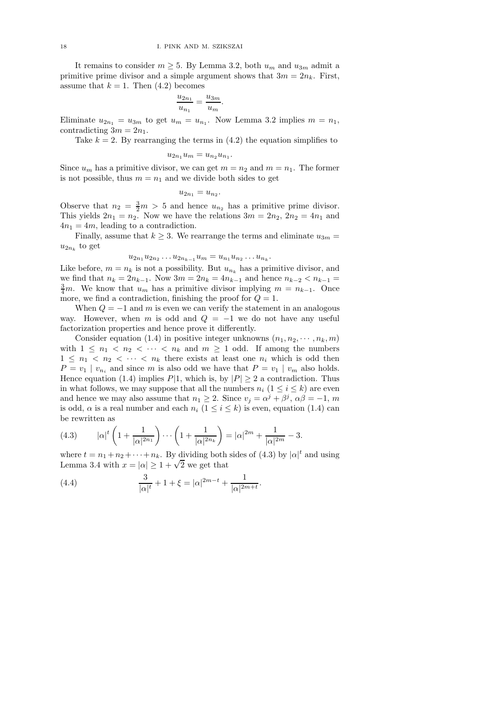It remains to consider  $m \geq 5$ . By Lemma 3.2, both  $u_m$  and  $u_{3m}$  admit a primitive prime divisor and a simple argument shows that  $3m = 2n_k$ . First, assume that  $k = 1$ . Then  $(4.2)$  becomes

$$
\frac{u_{2n_1}}{u_{n_1}} = \frac{u_{3m}}{u_m}.
$$

Eliminate  $u_{2n_1} = u_{3m}$  to get  $u_m = u_{n_1}$ . Now Lemma 3.2 implies  $m = n_1$ , contradicting  $3m = 2n_1$ .

Take  $k = 2$ . By rearranging the terms in  $(4.2)$  the equation simplifies to

$$
u_{2n_1}u_m = u_{n_2}u_{n_1}.
$$

Since  $u_m$  has a primitive divisor, we can get  $m = n_2$  and  $m = n_1$ . The former is not possible, thus  $m = n_1$  and we divide both sides to get

$$
u_{2n_1}=u_{n_2}.
$$

Observe that  $n_2 = \frac{3}{2}m > 5$  and hence  $u_{n_2}$  has a primitive prime divisor. This yields  $2n_1 = n_2$ . Now we have the relations  $3m = 2n_2$ ,  $2n_2 = 4n_1$  and  $4n_1 = 4m$ , leading to a contradiction.

Finally, assume that  $k \geq 3$ . We rearrange the terms and eliminate  $u_{3m} =$  $u_{2n_k}$  to get

$$
u_{2n_1}u_{2n_2}\ldots u_{2n_{k-1}}u_m=u_{n_1}u_{n_2}\ldots u_{n_k}.
$$

Like before,  $m = n_k$  is not a possibility. But  $u_{n_k}$  has a primitive divisor, and we find that  $n_k = 2n_{k-1}$ . Now  $3m = 2n_k = 4n_{k-1}$  and hence  $n_{k-2} < n_{k-1}$  $\frac{3}{4}m$ . We know that  $u_m$  has a primitive divisor implying  $m = n_{k-1}$ . Once more, we find a contradiction, finishing the proof for  $Q = 1$ .

When  $Q = -1$  and m is even we can verify the statement in an analogous way. However, when m is odd and  $Q = -1$  we do not have any useful factorization properties and hence prove it differently.

Consider equation (1.4) in positive integer unknowns  $(n_1, n_2, \dots, n_k, m)$ with  $1 \leq n_1 < n_2 < \cdots < n_k$  and  $m \geq 1$  odd. If among the numbers  $1 \leq n_1 < n_2 < \cdots < n_k$  there exists at least one  $n_i$  which is odd then  $P = v_1 | v_{n_i}$  and since m is also odd we have that  $P = v_1 | v_m$  also holds. Hence equation (1.4) implies  $P|1$ , which is, by  $|P| \ge 2$  a contradiction. Thus in what follows, we may suppose that all the numbers  $n_i$   $(1 \leq i \leq k)$  are even and hence we may also assume that  $n_1 \geq 2$ . Since  $v_j = \alpha^j + \beta^j$ ,  $\alpha \beta = -1$ , m is odd,  $\alpha$  is a real number and each  $n_i$   $(1 \leq i \leq k)$  is even, equation (1.4) can be rewritten as

(4.3) 
$$
|\alpha|^t \left(1 + \frac{1}{|\alpha|^{2n_1}}\right) \cdots \left(1 + \frac{1}{|\alpha|^{2n_k}}\right) = |\alpha|^{2m} + \frac{1}{|\alpha|^{2m}} - 3.
$$

where  $t = n_1 + n_2 + \cdots + n_k$ . By dividing both sides of (4.3) by  $|\alpha|^t$  and using Lemma 3.4 with  $x = |\alpha| \ge 1 + \sqrt{2}$  we get that

(4.4) 
$$
\frac{3}{|\alpha|^t} + 1 + \xi = |\alpha|^{2m-t} + \frac{1}{|\alpha|^{2m+t}}.
$$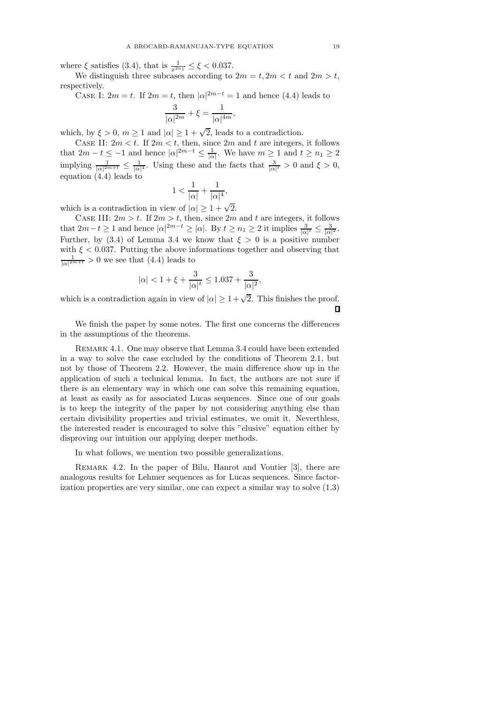where  $\xi$  satisfies (3.4), that is  $\frac{1}{x^{2n_1}} \leq \xi < 0.037$ .

We distinguish three subcases according to  $2m = t$ ,  $2m < t$  and  $2m > t$ , respectively.

CASE I:  $2m = t$ . If  $2m = t$ , then  $|\alpha|^{2m-t} = 1$  and hence (4.4) leads to

$$
\frac{3}{|\alpha|^{2m}}+\xi=\frac{1}{|\alpha|^{4m}},
$$

which, by  $\xi > 0$ ,  $m \ge 1$  and  $|\alpha| \ge 1 + \sqrt{2}$ , leads to a contradiction.

CASE II:  $2m < t$ . If  $2m < t$ , then, since  $2m$  and t are integers, it follows that  $2m - t \leq -1$  and hence  $|\alpha|^{2m-t} \leq \frac{1}{|\alpha|}$ . We have  $m \geq 1$  and  $t \geq n_1 \geq 2$ implying  $\frac{1}{|\alpha|^{2m+t}} \leq \frac{1}{|\alpha|^4}$ . Using these and the facts that  $\frac{3}{|\alpha|^t} > 0$  and  $\xi > 0$ , equation (4.4) leads to

$$
1 < \frac{1}{|\alpha|} + \frac{1}{|\alpha|^4},
$$

which is a contradiction in view of  $|\alpha| \geq 1 + \sqrt{2}$ .

CASE III:  $2m > t$ . If  $2m > t$ , then, since  $2m$  and t are integers, it follows that  $2m-t \geq 1$  and hence  $|\alpha|^{2m-t} \geq |\alpha|$ . By  $t \geq n_1 \geq 2$  it implies  $\frac{3}{|\alpha|^t} \leq \frac{3}{|\alpha|^2}$ . Further, by (3.4) of Lemma 3.4 we know that  $\xi > 0$  is a positive number with  $\xi < 0.037$ . Putting the above informations together and observing that  $\frac{1}{|\alpha|^{2m+t}} > 0$  we see that  $(4.4)$  leads to

$$
|\alpha| < 1 + \xi + \frac{3}{|\alpha|^t} \le 1.037 + \frac{3}{|\alpha|^2},
$$

which is a contradiction again in view of  $|\alpha| \geq 1 + \sqrt{2}$ . This finishes the proof.  $\Box$ 

We finish the paper by some notes. The first one concerns the differences in the assumptions of the theorems.

REMARK 4.1. One may observe that Lemma 3.4 could have been extended in a way to solve the case excluded by the conditions of Theorem 2.1, but not by those of Theorem 2.2. However, the main difference show up in the application of such a technical lemma. In fact, the authors are not sure if there is an elementary way in which one can solve this remaining equation, at least as easily as for associated Lucas sequences. Since one of our goals is to keep the integrity of the paper by not considering anything else than certain divisibility properties and trivial estimates, we omit it. Neverthless, the interested reader is encouraged to solve this "elusive" equation either by disproving our intuition our applying deeper methods.

In what follows, we mention two possible generalizations.

Remark 4.2. In the paper of Bilu, Hanrot and Voutier [3], there are analogous results for Lehmer sequences as for Lucas sequences. Since factorization properties are very similar, one can expect a similar way to solve (1.3)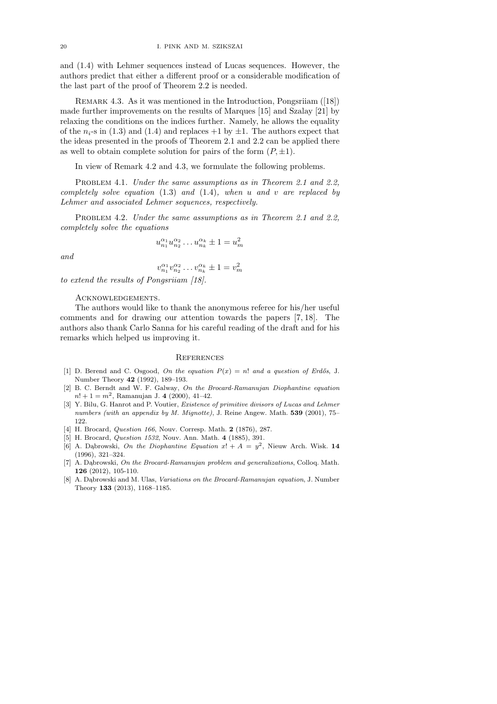and (1.4) with Lehmer sequences instead of Lucas sequences. However, the authors predict that either a different proof or a considerable modification of the last part of the proof of Theorem 2.2 is needed.

REMARK 4.3. As it was mentioned in the Introduction, Pongsriiam ([18]) made further improvements on the results of Marques [15] and Szalay [21] by relaxing the conditions on the indices further. Namely, he allows the equality of the  $n_i$ -s in (1.3) and (1.4) and replaces +1 by  $\pm 1$ . The authors expect that the ideas presented in the proofs of Theorem 2.1 and 2.2 can be applied there as well to obtain complete solution for pairs of the form  $(P, \pm 1)$ .

In view of Remark 4.2 and 4.3, we formulate the following problems.

PROBLEM 4.1. Under the same assumptions as in Theorem 2.1 and 2.2, completely solve equation  $(1.3)$  and  $(1.4)$ , when u and v are replaced by Lehmer and associated Lehmer sequences, respectively.

PROBLEM 4.2. Under the same assumptions as in Theorem 2.1 and 2.2, completely solve the equations

$$
u_{n_1}^{\alpha_1} u_{n_2}^{\alpha_2} \dots u_{n_k}^{\alpha_k} \pm 1 = u_m^2
$$

and

$$
v_{n_1}^{\alpha_1} v_{n_2}^{\alpha_2} \dots v_{n_k}^{\alpha_k} \pm 1 = v_m^2
$$

to extend the results of Pongsriiam [18].

## Acknowledgements.

The authors would like to thank the anonymous referee for his/her useful comments and for drawing our attention towards the papers [7, 18]. The authors also thank Carlo Sanna for his careful reading of the draft and for his remarks which helped us improving it.

#### **REFERENCES**

- [1] D. Berend and C. Osgood, On the equation  $P(x) = n!$  and a question of Erdős, J. Number Theory 42 (1992), 189–193.
- [2] B. C. Berndt and W. F. Galway, On the Brocard-Ramanujan Diophantine equation  $n! + 1 = m^2$ , Ramanujan J. 4 (2000), 41-42.
- [3] Y. Bilu, G. Hanrot and P. Voutier, Existence of primitive divisors of Lucas and Lehmer numbers (with an appendix by M. Mignotte), J. Reine Angew. Math. 539 (2001), 75– 122.
- [4] H. Brocard, *Question 166*, Nouv. Corresp. Math. 2 (1876), 287.
- [5] H. Brocard, Question 1532, Nouv. Ann. Math. 4 (1885), 391.
- [6] A. Dąbrowski, On the Diophantine Equation  $x! + A = y^2$ , Nieuw Arch. Wisk. 14 (1996), 321–324.
- [7] A. Dabrowski, On the Brocard-Ramanujan problem and generalizations, Colloq. Math. 126 (2012), 105-110.
- [8] A. Dabrowski and M. Ulas, *Variations on the Brocard-Ramanujan equation*, J. Number Theory 133 (2013), 1168–1185.